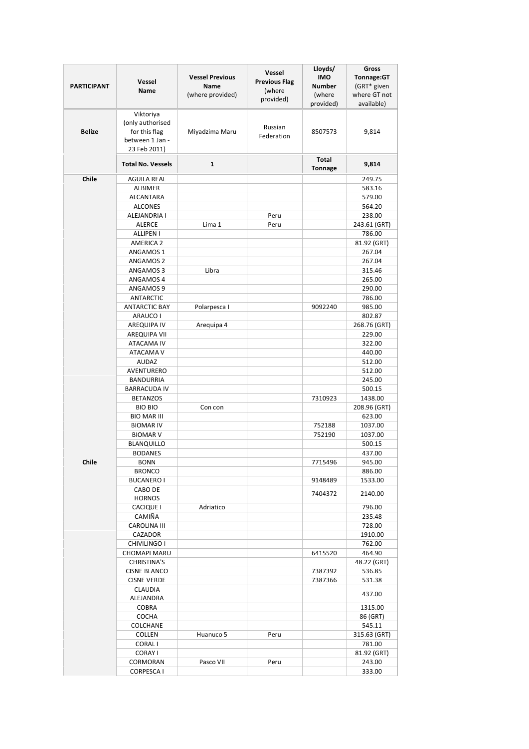| <b>PARTICIPANT</b> | Vessel<br>Name                                                                    | <b>Vessel Previous</b><br><b>Name</b><br>(where provided) | Vessel<br><b>Previous Flag</b><br>(where<br>provided) | Lloyds/<br><b>IMO</b><br><b>Number</b><br>(where<br>provided) | Gross<br>Tonnage:GT<br>(GRT* given<br>where GT not<br>available) |
|--------------------|-----------------------------------------------------------------------------------|-----------------------------------------------------------|-------------------------------------------------------|---------------------------------------------------------------|------------------------------------------------------------------|
| <b>Belize</b>      | Viktoriya<br>(only authorised<br>for this flag<br>between 1 Jan -<br>23 Feb 2011) | Miyadzima Maru                                            | Russian<br>Federation                                 | 8507573                                                       | 9,814                                                            |
|                    | <b>Total No. Vessels</b>                                                          | 1                                                         |                                                       | Total<br><b>Tonnage</b>                                       | 9,814                                                            |
| Chile              | AGUILA REAL                                                                       |                                                           |                                                       |                                                               | 249.75                                                           |
|                    | ALBIMER                                                                           |                                                           |                                                       |                                                               | 583.16                                                           |
|                    | ALCANTARA                                                                         |                                                           |                                                       |                                                               | 579.00                                                           |
|                    | <b>ALCONES</b>                                                                    |                                                           |                                                       |                                                               | 564.20                                                           |
|                    | ALEJANDRIA I                                                                      |                                                           | Peru                                                  |                                                               | 238.00                                                           |
|                    | <b>ALERCE</b>                                                                     | Lima 1                                                    | Peru                                                  |                                                               | 243.61 (GRT)                                                     |
|                    | <b>ALLIPEN I</b>                                                                  |                                                           |                                                       |                                                               | 786.00                                                           |
|                    | <b>AMERICA 2</b>                                                                  |                                                           |                                                       |                                                               | 81.92 (GRT)                                                      |
|                    | ANGAMOS 1                                                                         |                                                           |                                                       |                                                               | 267.04                                                           |
|                    | <b>ANGAMOS 2</b>                                                                  |                                                           |                                                       |                                                               | 267.04                                                           |
|                    | ANGAMOS 3                                                                         | Libra                                                     |                                                       |                                                               | 315.46                                                           |
|                    | ANGAMOS 4                                                                         |                                                           |                                                       |                                                               | 265.00                                                           |
|                    | ANGAMOS 9                                                                         |                                                           |                                                       |                                                               | 290.00                                                           |
|                    | <b>ANTARCTIC</b>                                                                  |                                                           |                                                       | 9092240                                                       | 786.00<br>985.00                                                 |
|                    | <b>ANTARCTIC BAY</b><br>ARAUCO I                                                  | Polarpesca I                                              |                                                       |                                                               | 802.87                                                           |
|                    | AREQUIPA IV                                                                       | Arequipa 4                                                |                                                       |                                                               | 268.76 (GRT)                                                     |
|                    | AREQUIPA VII                                                                      |                                                           |                                                       |                                                               | 229.00                                                           |
|                    | ATACAMA IV                                                                        |                                                           |                                                       |                                                               | 322.00                                                           |
|                    | ATACAMA V                                                                         |                                                           |                                                       |                                                               | 440.00                                                           |
|                    | <b>AUDAZ</b>                                                                      |                                                           |                                                       |                                                               | 512.00                                                           |
|                    | AVENTURERO                                                                        |                                                           |                                                       |                                                               | 512.00                                                           |
|                    | <b>BANDURRIA</b>                                                                  |                                                           |                                                       |                                                               | 245.00                                                           |
|                    | <b>BARRACUDA IV</b>                                                               |                                                           |                                                       |                                                               | 500.15                                                           |
|                    | <b>BETANZOS</b>                                                                   |                                                           |                                                       | 7310923                                                       | 1438.00                                                          |
|                    | <b>BIO BIO</b>                                                                    | Con con                                                   |                                                       |                                                               | 208.96 (GRT)                                                     |
|                    | <b>BIO MAR III</b>                                                                |                                                           |                                                       |                                                               | 623.00                                                           |
|                    | <b>BIOMAR IV</b>                                                                  |                                                           |                                                       | 752188                                                        | 1037.00                                                          |
|                    | <b>BIOMAR V</b>                                                                   |                                                           |                                                       | 752190                                                        | 1037.00                                                          |
|                    | <b>BLANQUILLO</b>                                                                 |                                                           |                                                       |                                                               | 500.15                                                           |
|                    | <b>BODANES</b>                                                                    |                                                           |                                                       |                                                               | 437.00                                                           |
| Chile              | <b>BONN</b>                                                                       |                                                           |                                                       | 7715496                                                       | 945.00                                                           |
|                    | <b>BRONCO</b>                                                                     |                                                           |                                                       |                                                               | 886.00                                                           |
|                    | <b>BUCANERO I</b>                                                                 |                                                           |                                                       | 9148489                                                       | 1533.00                                                          |
|                    | CABO DE<br><b>HORNOS</b>                                                          |                                                           |                                                       | 7404372                                                       | 2140.00                                                          |
|                    | <b>CACIQUE I</b>                                                                  | Adriatico                                                 |                                                       |                                                               | 796.00                                                           |
|                    | CAMIÑA                                                                            |                                                           |                                                       |                                                               | 235.48                                                           |
|                    | <b>CAROLINA III</b>                                                               |                                                           |                                                       |                                                               | 728.00                                                           |
|                    | CAZADOR                                                                           |                                                           |                                                       |                                                               | 1910.00                                                          |
|                    | CHIVILINGO I                                                                      |                                                           |                                                       |                                                               | 762.00                                                           |
|                    | CHOMAPI MARU                                                                      |                                                           |                                                       | 6415520                                                       | 464.90                                                           |
|                    | <b>CHRISTINA'S</b>                                                                |                                                           |                                                       |                                                               | 48.22 (GRT)                                                      |
|                    | <b>CISNE BLANCO</b>                                                               |                                                           |                                                       | 7387392                                                       | 536.85                                                           |
|                    | <b>CISNE VERDE</b>                                                                |                                                           |                                                       | 7387366                                                       | 531.38                                                           |
|                    | CLAUDIA                                                                           |                                                           |                                                       |                                                               |                                                                  |
|                    | ALEJANDRA                                                                         |                                                           |                                                       |                                                               | 437.00                                                           |
|                    | <b>COBRA</b>                                                                      |                                                           |                                                       |                                                               | 1315.00                                                          |
|                    | <b>COCHA</b>                                                                      |                                                           |                                                       |                                                               | 86 (GRT)                                                         |
|                    | <b>COLCHANE</b>                                                                   |                                                           |                                                       |                                                               | 545.11                                                           |
|                    | COLLEN                                                                            | Huanuco 5                                                 | Peru                                                  |                                                               | 315.63 (GRT)                                                     |
|                    | <b>CORALI</b>                                                                     |                                                           |                                                       |                                                               | 781.00                                                           |
|                    | <b>CORAY I</b>                                                                    |                                                           |                                                       |                                                               | 81.92 (GRT)                                                      |
|                    | CORMORAN                                                                          | Pasco VII                                                 | Peru                                                  |                                                               | 243.00                                                           |
|                    | <b>CORPESCA I</b>                                                                 |                                                           |                                                       |                                                               | 333.00                                                           |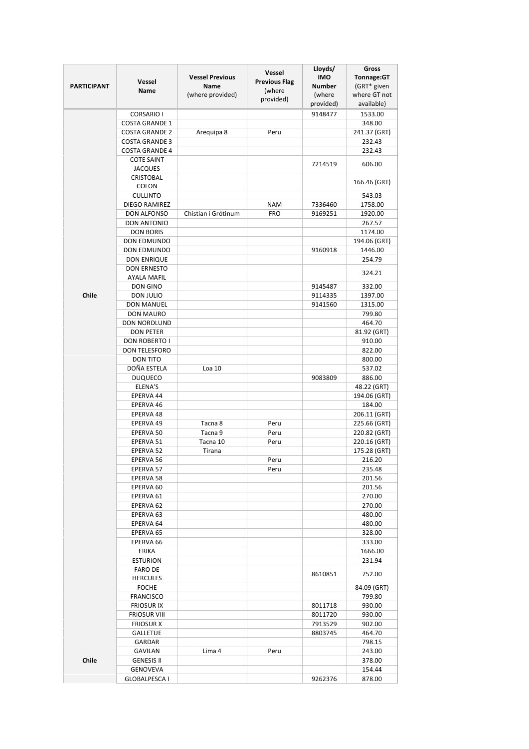|                    | Vessel                                         | <b>Vessel Previous</b>          | Vessel<br><b>Previous Flag</b> | Lloyds/<br><b>IMO</b>   | Gross<br>Tonnage:GT         |
|--------------------|------------------------------------------------|---------------------------------|--------------------------------|-------------------------|-----------------------------|
| <b>PARTICIPANT</b> | Name                                           | <b>Name</b><br>(where provided) | (where                         | <b>Number</b><br>(where | (GRT* given<br>where GT not |
|                    |                                                |                                 | provided)                      | provided)               | available)                  |
|                    | <b>CORSARIO I</b>                              |                                 |                                | 9148477                 | 1533.00                     |
|                    | <b>COSTA GRANDE 1</b>                          |                                 |                                |                         | 348.00                      |
|                    | <b>COSTA GRANDE 2</b>                          | Arequipa 8                      | Peru                           |                         | 241.37 (GRT)                |
|                    | <b>COSTA GRANDE 3</b><br><b>COSTA GRANDE 4</b> |                                 |                                |                         | 232.43<br>232.43            |
|                    | <b>COTE SAINT</b>                              |                                 |                                |                         |                             |
|                    | <b>JACQUES</b>                                 |                                 |                                | 7214519                 | 606.00                      |
|                    | <b>CRISTOBAL</b><br><b>COLON</b>               |                                 |                                |                         | 166.46 (GRT)                |
|                    | <b>CULLINTO</b>                                |                                 |                                |                         | 543.03                      |
|                    | DIEGO RAMIREZ                                  |                                 | <b>NAM</b>                     | 7336460                 | 1758.00                     |
|                    | DON ALFONSO                                    | Chistian í Grótinum             | <b>FRO</b>                     | 9169251                 | 1920.00                     |
|                    | <b>DON ANTONIO</b>                             |                                 |                                |                         | 267.57                      |
|                    | <b>DON BORIS</b>                               |                                 |                                |                         | 1174.00                     |
|                    | DON EDMUNDO<br><b>DON EDMUNDO</b>              |                                 |                                | 9160918                 | 194.06 (GRT)<br>1446.00     |
|                    | DON ENRIQUE                                    |                                 |                                |                         | 254.79                      |
|                    | <b>DON ERNESTO</b>                             |                                 |                                |                         |                             |
|                    | <b>AYALA MAFIL</b>                             |                                 |                                |                         | 324.21                      |
|                    | DON GINO                                       |                                 |                                | 9145487                 | 332.00                      |
| Chile              | DON JULIO                                      |                                 |                                | 9114335                 | 1397.00                     |
|                    | <b>DON MANUEL</b>                              |                                 |                                | 9141560                 | 1315.00                     |
|                    | <b>DON MAURO</b>                               |                                 |                                |                         | 799.80                      |
|                    | <b>DON NORDLUND</b>                            |                                 |                                |                         | 464.70                      |
|                    | <b>DON PETER</b>                               |                                 |                                |                         | 81.92 (GRT)                 |
|                    | DON ROBERTO I                                  |                                 |                                |                         | 910.00                      |
|                    | DON TELESFORO                                  |                                 |                                |                         | 822.00                      |
|                    | <b>DON TITO</b><br>DOÑA ESTELA                 | Loa 10                          |                                |                         | 800.00                      |
|                    | <b>DUQUECO</b>                                 |                                 |                                | 9083809                 | 537.02<br>886.00            |
|                    | ELENA'S                                        |                                 |                                |                         | 48.22 (GRT)                 |
|                    | EPERVA 44                                      |                                 |                                |                         | 194.06 (GRT)                |
|                    | EPERVA 46                                      |                                 |                                |                         | 184.00                      |
|                    | EPERVA 48                                      |                                 |                                |                         | 206.11 (GRT)                |
|                    | EPERVA 49                                      | Tacna 8                         | Peru                           |                         | 225.66 (GRT)                |
|                    | EPERVA 50                                      | Tacna 9                         | Peru                           |                         | 220.82 (GRT)                |
|                    | EPERVA 51                                      | Tacna 10                        | Peru                           |                         | 220.16 (GRT)                |
|                    | EPERVA 52                                      | Tirana                          |                                |                         | 175.28 (GRT)                |
|                    | EPERVA 56                                      |                                 | Peru                           |                         | 216.20                      |
|                    | EPERVA 57                                      |                                 | Peru                           |                         | 235.48                      |
|                    | EPERVA 58<br>EPERVA 60                         |                                 |                                |                         | 201.56<br>201.56            |
|                    | EPERVA 61                                      |                                 |                                |                         | 270.00                      |
|                    | EPERVA 62                                      |                                 |                                |                         | 270.00                      |
|                    | EPERVA 63                                      |                                 |                                |                         | 480.00                      |
|                    | EPERVA 64                                      |                                 |                                |                         | 480.00                      |
|                    | EPERVA 65                                      |                                 |                                |                         | 328.00                      |
|                    | EPERVA 66                                      |                                 |                                |                         | 333.00                      |
|                    | ERIKA                                          |                                 |                                |                         | 1666.00                     |
|                    | <b>ESTURION</b>                                |                                 |                                |                         | 231.94                      |
|                    | <b>FARO DE</b>                                 |                                 |                                | 8610851                 | 752.00                      |
|                    | <b>HERCULES</b><br><b>FOCHE</b>                |                                 |                                |                         | 84.09 (GRT)                 |
|                    | <b>FRANCISCO</b>                               |                                 |                                |                         | 799.80                      |
|                    | <b>FRIOSUR IX</b>                              |                                 |                                | 8011718                 | 930.00                      |
|                    | FRIOSUR VIII                                   |                                 |                                | 8011720                 | 930.00                      |
|                    | <b>FRIOSUR X</b>                               |                                 |                                | 7913529                 | 902.00                      |
|                    | <b>GALLETUE</b>                                |                                 |                                | 8803745                 | 464.70                      |
|                    | GARDAR                                         |                                 |                                |                         | 798.15                      |
|                    | GAVILAN                                        | Lima 4                          | Peru                           |                         | 243.00                      |
| Chile              | <b>GENESIS II</b>                              |                                 |                                |                         | 378.00                      |
|                    | GENOVEVA                                       |                                 |                                |                         | 154.44                      |
|                    | <b>GLOBALPESCA I</b>                           |                                 |                                | 9262376                 | 878.00                      |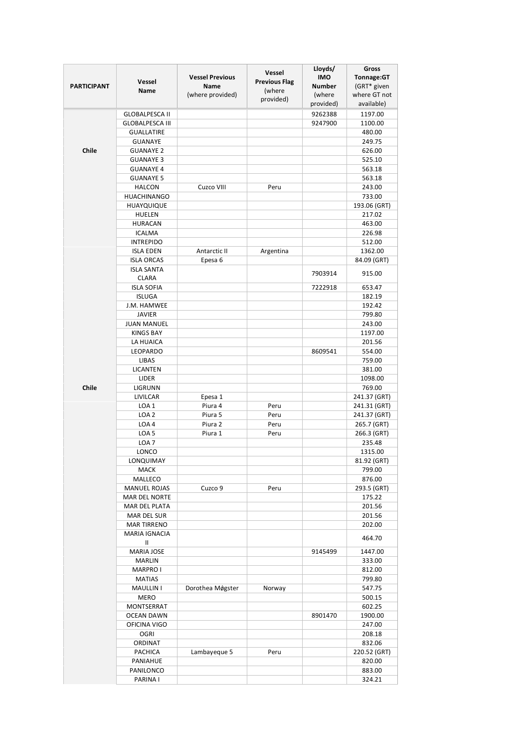|                    |                        |                        | Vessel               | Lloyds/       | Gross        |
|--------------------|------------------------|------------------------|----------------------|---------------|--------------|
|                    |                        | <b>Vessel Previous</b> |                      | <b>IMO</b>    | Tonnage:GT   |
| <b>PARTICIPANT</b> | <b>Vessel</b>          | <b>Name</b>            | <b>Previous Flag</b> | <b>Number</b> | (GRT* given  |
|                    | Name                   | (where provided)       | (where               | (where        | where GT not |
|                    |                        |                        | provided)            | provided)     | available)   |
|                    |                        |                        |                      |               |              |
|                    | <b>GLOBALPESCA II</b>  |                        |                      | 9262388       | 1197.00      |
|                    | <b>GLOBALPESCA III</b> |                        |                      | 9247900       | 1100.00      |
|                    | <b>GUALLATIRE</b>      |                        |                      |               | 480.00       |
|                    | <b>GUANAYE</b>         |                        |                      |               | 249.75       |
| Chile              | <b>GUANAYE 2</b>       |                        |                      |               | 626.00       |
|                    | <b>GUANAYE 3</b>       |                        |                      |               | 525.10       |
|                    | <b>GUANAYE 4</b>       |                        |                      |               | 563.18       |
|                    | <b>GUANAYE 5</b>       |                        |                      |               | 563.18       |
|                    | <b>HALCON</b>          | Cuzco VIII             | Peru                 |               | 243.00       |
|                    | <b>HUACHINANGO</b>     |                        |                      |               | 733.00       |
|                    |                        |                        |                      |               |              |
|                    | <b>HUAYQUIQUE</b>      |                        |                      |               | 193.06 (GRT) |
|                    | <b>HUELEN</b>          |                        |                      |               | 217.02       |
|                    | <b>HURACAN</b>         |                        |                      |               | 463.00       |
|                    | <b>ICALMA</b>          |                        |                      |               | 226.98       |
|                    | <b>INTREPIDO</b>       |                        |                      |               | 512.00       |
|                    | <b>ISLA EDEN</b>       | Antarctic II           | Argentina            |               | 1362.00      |
|                    | <b>ISLA ORCAS</b>      | Epesa 6                |                      |               | 84.09 (GRT)  |
|                    | <b>ISLA SANTA</b>      |                        |                      |               |              |
|                    | <b>CLARA</b>           |                        |                      | 7903914       | 915.00       |
|                    | <b>ISLA SOFIA</b>      |                        |                      | 7222918       | 653.47       |
|                    | <b>ISLUGA</b>          |                        |                      |               | 182.19       |
|                    |                        |                        |                      |               |              |
|                    | J.M. HAMWEE            |                        |                      |               | 192.42       |
|                    | <b>JAVIER</b>          |                        |                      |               | 799.80       |
|                    | <b>JUAN MANUEL</b>     |                        |                      |               | 243.00       |
|                    | <b>KINGS BAY</b>       |                        |                      |               | 1197.00      |
|                    | LA HUAICA              |                        |                      |               | 201.56       |
|                    | LEOPARDO               |                        |                      | 8609541       | 554.00       |
|                    | LIBAS                  |                        |                      |               | 759.00       |
|                    | <b>LICANTEN</b>        |                        |                      |               | 381.00       |
|                    | LIDER                  |                        |                      |               | 1098.00      |
| Chile              | LIGRUNN                |                        |                      |               | 769.00       |
|                    | LIVILCAR               | Epesa 1                |                      |               | 241.37 (GRT) |
|                    |                        | Piura 4                |                      |               |              |
|                    | LOA <sub>1</sub>       |                        | Peru                 |               | 241.31 (GRT) |
|                    | LOA <sub>2</sub>       | Piura 5                | Peru                 |               | 241.37 (GRT) |
|                    | LOA4                   | Piura 2                | Peru                 |               | 265.7 (GRT)  |
|                    | LOA <sub>5</sub>       | Piura 1                | Peru                 |               | 266.3 (GRT)  |
|                    | LOA <sub>7</sub>       |                        |                      |               | 235.48       |
|                    | LONCO                  |                        |                      |               | 1315.00      |
|                    | LONQUIMAY              |                        |                      |               | 81.92 (GRT)  |
|                    | MACK                   |                        |                      |               | 799.00       |
|                    | MALLECO                |                        |                      |               | 876.00       |
|                    | <b>MANUEL ROJAS</b>    | Cuzco 9                | Peru                 |               | 293.5 (GRT)  |
|                    | <b>MAR DEL NORTE</b>   |                        |                      |               | 175.22       |
|                    | MAR DEL PLATA          |                        |                      |               | 201.56       |
|                    | MAR DEL SUR            |                        |                      |               | 201.56       |
|                    | <b>MAR TIRRENO</b>     |                        |                      |               |              |
|                    |                        |                        |                      |               | 202.00       |
|                    | <b>MARIA IGNACIA</b>   |                        |                      |               | 464.70       |
|                    | Ш                      |                        |                      |               |              |
|                    | <b>MARIA JOSE</b>      |                        |                      | 9145499       | 1447.00      |
|                    | <b>MARLIN</b>          |                        |                      |               | 333.00       |
|                    | MARPRO I               |                        |                      |               | 812.00       |
|                    | <b>MATIAS</b>          |                        |                      |               | 799.80       |
|                    | <b>MAULLIN I</b>       | Dorothea Møgster       | Norway               |               | 547.75       |
|                    | <b>MERO</b>            |                        |                      |               | 500.15       |
|                    | MONTSERRAT             |                        |                      |               | 602.25       |
|                    | <b>OCEAN DAWN</b>      |                        |                      | 8901470       | 1900.00      |
|                    | OFICINA VIGO           |                        |                      |               | 247.00       |
|                    | <b>OGRI</b>            |                        |                      |               | 208.18       |
|                    | ORDINAT                |                        |                      |               | 832.06       |
|                    |                        |                        |                      |               |              |
|                    | PACHICA                | Lambayeque 5           | Peru                 |               | 220.52 (GRT) |
|                    | PANIAHUE               |                        |                      |               | 820.00       |
|                    | PANILONCO              |                        |                      |               | 883.00       |
|                    | PARINA I               |                        |                      |               | 324.21       |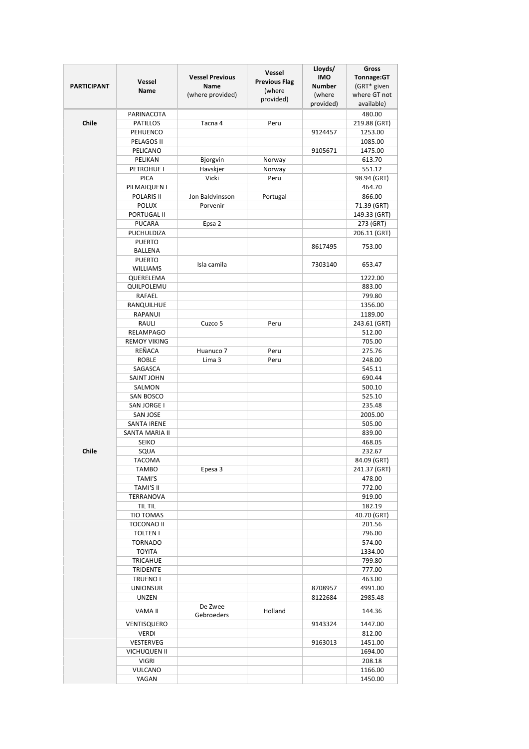|                    | Vessel                                  | <b>Vessel Previous</b>   | Vessel<br><b>Previous Flag</b> | Lloyds/<br><b>IMO</b>   | Gross<br>Tonnage:GT         |
|--------------------|-----------------------------------------|--------------------------|--------------------------------|-------------------------|-----------------------------|
| <b>PARTICIPANT</b> | <b>Name</b>                             | Name<br>(where provided) | (where                         | <b>Number</b><br>(where | (GRT* given<br>where GT not |
|                    |                                         |                          | provided)                      | provided)               | available)                  |
|                    | PARINACOTA                              |                          |                                |                         | 480.00                      |
| Chile              | <b>PATILLOS</b>                         | Tacna 4                  | Peru                           |                         | 219.88 (GRT)                |
|                    | PEHUENCO                                |                          |                                | 9124457                 | 1253.00                     |
|                    | PELAGOS II                              |                          |                                |                         | 1085.00                     |
|                    | PELICANO<br>PELIKAN                     | Bjorgvin                 | Norway                         | 9105671                 | 1475.00<br>613.70           |
|                    | PETROHUE I                              | Havskjer                 | Norway                         |                         | 551.12                      |
|                    | <b>PICA</b>                             | Vicki                    | Peru                           |                         | 98.94 (GRT)                 |
|                    | PILMAIQUEN I                            |                          |                                |                         | 464.70                      |
|                    | POLARIS II                              | Jon Baldvinsson          | Portugal                       |                         | 866.00                      |
|                    | <b>POLUX</b>                            | Porvenir                 |                                |                         | 71.39 (GRT)                 |
|                    | PORTUGAL II                             |                          |                                |                         | 149.33 (GRT)                |
|                    | <b>PUCARA</b>                           | Epsa 2                   |                                |                         | 273 (GRT)                   |
|                    | PUCHULDIZA                              |                          |                                |                         | 206.11 (GRT)                |
|                    | <b>PUERTO</b><br>BALLENA                |                          |                                | 8617495                 | 753.00                      |
|                    | <b>PUERTO</b>                           |                          |                                |                         |                             |
|                    | WILLIAMS                                | Isla camila              |                                | 7303140                 | 653.47                      |
|                    | QUERELEMA                               |                          |                                |                         | 1222.00                     |
|                    | QUILPOLEMU                              |                          |                                |                         | 883.00                      |
|                    | RAFAEL                                  |                          |                                |                         | 799.80                      |
|                    | RANQUILHUE                              |                          |                                |                         | 1356.00                     |
|                    | RAPANUI                                 |                          |                                |                         | 1189.00                     |
|                    | RAULI                                   | Cuzco 5                  | Peru                           |                         | 243.61 (GRT)                |
|                    | <b>RELAMPAGO</b><br><b>REMOY VIKING</b> |                          |                                |                         | 512.00<br>705.00            |
|                    | REÑACA                                  | Huanuco 7                | Peru                           |                         | 275.76                      |
|                    | <b>ROBLE</b>                            | Lima 3                   | Peru                           |                         | 248.00                      |
|                    | SAGASCA                                 |                          |                                |                         | 545.11                      |
|                    | <b>SAINT JOHN</b>                       |                          |                                |                         | 690.44                      |
|                    | SALMON                                  |                          |                                |                         | 500.10                      |
|                    | <b>SAN BOSCO</b>                        |                          |                                |                         | 525.10                      |
|                    | SAN JORGE I                             |                          |                                |                         | 235.48                      |
|                    | <b>SAN JOSE</b>                         |                          |                                |                         | 2005.00                     |
|                    | <b>SANTA IRENE</b>                      |                          |                                |                         | 505.00                      |
|                    | SANTA MARIA II                          |                          |                                |                         | 839.00                      |
| Chile              | <b>SEIKO</b><br>SQUA                    |                          |                                |                         | 468.05<br>232.67            |
|                    | <b>TACOMA</b>                           |                          |                                |                         | 84.09 (GRT)                 |
|                    | <b>TAMBO</b>                            | Epesa 3                  |                                |                         | 241.37 (GRT)                |
|                    | TAMI'S                                  |                          |                                |                         | 478.00                      |
|                    | TAMI'S II                               |                          |                                |                         | 772.00                      |
|                    | TERRANOVA                               |                          |                                |                         | 919.00                      |
|                    | TIL TIL                                 |                          |                                |                         | 182.19                      |
|                    | <b>TIO TOMAS</b>                        |                          |                                |                         | 40.70 (GRT)                 |
|                    | TOCONAO II                              |                          |                                |                         | 201.56                      |
|                    | <b>TOLTEN I</b>                         |                          |                                |                         | 796.00                      |
|                    | <b>TORNADO</b><br><b>TOYITA</b>         |                          |                                |                         | 574.00<br>1334.00           |
|                    | <b>TRICAHUE</b>                         |                          |                                |                         | 799.80                      |
|                    | <b>TRIDENTE</b>                         |                          |                                |                         | 777.00                      |
|                    | <b>TRUENO I</b>                         |                          |                                |                         | 463.00                      |
|                    | <b>UNIONSUR</b>                         |                          |                                | 8708957                 | 4991.00                     |
|                    | <b>UNZEN</b>                            |                          |                                | 8122684                 | 2985.48                     |
|                    | VAMA II                                 | De Zwee<br>Gebroeders    | Holland                        |                         | 144.36                      |
|                    | VENTISQUERO                             |                          |                                | 9143324                 | 1447.00                     |
|                    | <b>VERDI</b>                            |                          |                                |                         | 812.00                      |
|                    | VESTERVEG                               |                          |                                | 9163013                 | 1451.00                     |
|                    | <b>VICHUQUEN II</b>                     |                          |                                |                         | 1694.00                     |
|                    | <b>VIGRI</b><br>VULCANO                 |                          |                                |                         | 208.18<br>1166.00           |
|                    | YAGAN                                   |                          |                                |                         | 1450.00                     |
|                    |                                         |                          |                                |                         |                             |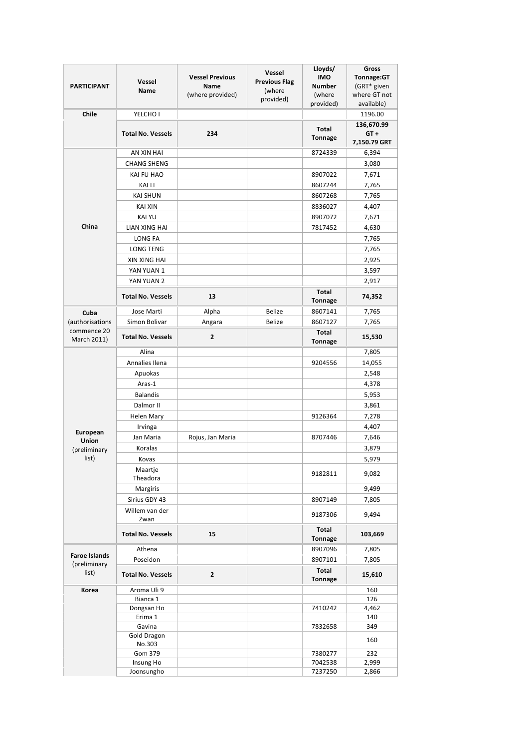| <b>PARTICIPANT</b>                            | Vessel<br>Name           | <b>Vessel Previous</b><br><b>Name</b><br>(where provided) | <b>Vessel</b><br><b>Previous Flag</b><br>(where<br>provided) | Lloyds/<br><b>IMO</b><br><b>Number</b><br>(where<br>provided) | Gross<br>Tonnage:GT<br>(GRT* given<br>where GT not<br>available) |
|-----------------------------------------------|--------------------------|-----------------------------------------------------------|--------------------------------------------------------------|---------------------------------------------------------------|------------------------------------------------------------------|
| Chile                                         | YELCHO I                 |                                                           |                                                              |                                                               | 1196.00                                                          |
|                                               | <b>Total No. Vessels</b> | 234                                                       |                                                              | Total<br><b>Tonnage</b>                                       | 136,670.99<br>$GT +$<br>7,150.79 GRT                             |
|                                               | AN XIN HAI               |                                                           |                                                              | 8724339                                                       | 6,394                                                            |
|                                               | <b>CHANG SHENG</b>       |                                                           |                                                              |                                                               | 3,080                                                            |
|                                               | KAI FU HAO               |                                                           |                                                              | 8907022                                                       | 7,671                                                            |
|                                               | <b>KAI LI</b>            |                                                           |                                                              | 8607244                                                       | 7,765                                                            |
|                                               | <b>KAI SHUN</b>          |                                                           |                                                              | 8607268                                                       | 7,765                                                            |
|                                               | <b>KAI XIN</b>           |                                                           |                                                              | 8836027                                                       | 4,407                                                            |
|                                               | <b>KAI YU</b>            |                                                           |                                                              | 8907072                                                       | 7,671                                                            |
| China                                         | LIAN XING HAI            |                                                           |                                                              | 7817452                                                       | 4,630                                                            |
|                                               | LONG FA                  |                                                           |                                                              |                                                               | 7,765                                                            |
|                                               | <b>LONG TENG</b>         |                                                           |                                                              |                                                               | 7,765                                                            |
|                                               | <b>XIN XING HAI</b>      |                                                           |                                                              |                                                               | 2,925                                                            |
|                                               | YAN YUAN 1               |                                                           |                                                              |                                                               | 3,597                                                            |
|                                               | YAN YUAN 2               |                                                           |                                                              |                                                               | 2,917                                                            |
|                                               | <b>Total No. Vessels</b> | 13                                                        |                                                              | <b>Total</b><br><b>Tonnage</b>                                | 74,352                                                           |
| Cuba                                          | Jose Marti               | Alpha                                                     | Belize                                                       | 8607141                                                       | 7,765                                                            |
| (authorisations                               | Simon Bolivar            | Angara                                                    | Belize                                                       | 8607127                                                       | 7,765                                                            |
| commence 20<br>March 2011)                    | <b>Total No. Vessels</b> | 2                                                         |                                                              | <b>Total</b><br><b>Tonnage</b>                                | 15,530                                                           |
|                                               | Alina                    |                                                           |                                                              |                                                               | 7,805                                                            |
|                                               | Annalies Ilena           |                                                           |                                                              | 9204556                                                       | 14,055                                                           |
|                                               | Apuokas                  |                                                           |                                                              |                                                               | 2,548                                                            |
|                                               | Aras-1                   |                                                           |                                                              |                                                               | 4,378                                                            |
|                                               | <b>Balandis</b>          |                                                           |                                                              |                                                               | 5,953                                                            |
|                                               | Dalmor II                |                                                           |                                                              |                                                               | 3,861                                                            |
|                                               | <b>Helen Mary</b>        |                                                           |                                                              | 9126364                                                       | 7,278                                                            |
|                                               | Irvinga                  |                                                           |                                                              |                                                               | 4,407                                                            |
| European<br>Union                             | Jan Maria                | Rojus, Jan Maria                                          |                                                              | 8707446                                                       | 7,646                                                            |
| (preliminary                                  | Koralas                  |                                                           |                                                              |                                                               | 3,879                                                            |
| list)                                         | Kovas                    |                                                           |                                                              |                                                               | 5,979                                                            |
|                                               | Maartje<br>Theadora      |                                                           |                                                              | 9182811                                                       | 9,082                                                            |
|                                               | Margiris                 |                                                           |                                                              |                                                               | 9,499                                                            |
|                                               | Sirius GDY 43            |                                                           |                                                              | 8907149                                                       | 7,805                                                            |
|                                               | Willem van der<br>Zwan   |                                                           |                                                              | 9187306                                                       | 9,494                                                            |
|                                               | <b>Total No. Vessels</b> | 15                                                        |                                                              | Total<br><b>Tonnage</b>                                       | 103,669                                                          |
|                                               | Athena                   |                                                           |                                                              | 8907096                                                       | 7,805                                                            |
| <b>Faroe Islands</b><br>(preliminary<br>list) | Poseidon                 |                                                           |                                                              | 8907101                                                       | 7,805                                                            |
|                                               | <b>Total No. Vessels</b> | $\mathbf{2}$                                              |                                                              | Total<br><b>Tonnage</b>                                       | 15,610                                                           |
| Korea                                         | Aroma Uli 9              |                                                           |                                                              |                                                               | 160                                                              |
|                                               | Bianca 1                 |                                                           |                                                              |                                                               | 126                                                              |
|                                               | Dongsan Ho               |                                                           |                                                              | 7410242                                                       | 4,462                                                            |
|                                               | Erima 1                  |                                                           |                                                              |                                                               | 140                                                              |
|                                               | Gavina<br>Gold Dragon    |                                                           |                                                              | 7832658                                                       | 349                                                              |
|                                               | No.303                   |                                                           |                                                              |                                                               | 160                                                              |
|                                               | Gom 379<br>Insung Ho     |                                                           |                                                              | 7380277<br>7042538                                            | 232<br>2,999                                                     |
|                                               | Joonsungho               |                                                           |                                                              | 7237250                                                       | 2,866                                                            |
|                                               |                          |                                                           |                                                              |                                                               |                                                                  |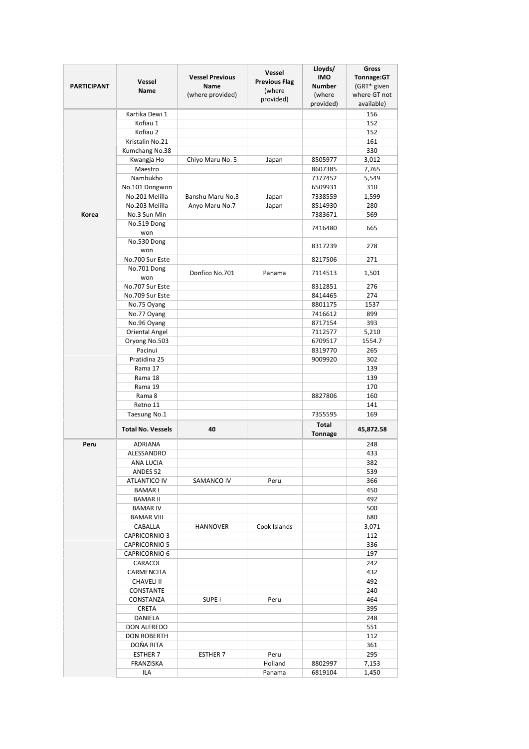|                    |                              |                                       | Vessel               | Lloyds/                     | Gross                     |
|--------------------|------------------------------|---------------------------------------|----------------------|-----------------------------|---------------------------|
| <b>PARTICIPANT</b> | Vessel                       | <b>Vessel Previous</b><br><b>Name</b> | <b>Previous Flag</b> | <b>IMO</b><br><b>Number</b> | Tonnage:GT<br>(GRT* given |
|                    | <b>Name</b>                  | (where provided)                      | (where               | (where                      | where GT not              |
|                    |                              |                                       | provided)            | provided)                   | available)                |
|                    | Kartika Dewi 1               |                                       |                      |                             | 156                       |
|                    | Kofiau 1                     |                                       |                      |                             | 152                       |
|                    | Kofiau 2                     |                                       |                      |                             | 152                       |
|                    | Kristalin No.21              |                                       |                      |                             | 161                       |
|                    | Kumchang No.38               |                                       |                      |                             | 330                       |
|                    | Kwangja Ho<br>Maestro        | Chiyo Maru No. 5                      | Japan                | 8505977<br>8607385          | 3,012<br>7,765            |
|                    | Nambukho                     |                                       |                      | 7377452                     | 5,549                     |
|                    | No.101 Dongwon               |                                       |                      | 6509931                     | 310                       |
|                    | No.201 Melilla               | Banshu Maru No.3                      | Japan                | 7338559                     | 1,599                     |
|                    | No.203 Melilla               | Anyo Maru No.7                        | Japan                | 8514930                     | 280                       |
| Korea              | No.3 Sun Min                 |                                       |                      | 7383671                     | 569                       |
|                    | No.519 Dong                  |                                       |                      | 7416480                     | 665                       |
|                    | won                          |                                       |                      |                             |                           |
|                    | No.530 Dong                  |                                       |                      | 8317239                     | 278                       |
|                    | won                          |                                       |                      |                             |                           |
|                    | No.700 Sur Este              |                                       |                      | 8217506                     | 271                       |
|                    | No.701 Dong<br>won           | Donfico No.701                        | Panama               | 7114513                     | 1,501                     |
|                    | No.707 Sur Este              |                                       |                      | 8312851                     | 276                       |
|                    | No.709 Sur Este              |                                       |                      | 8414465                     | 274                       |
|                    | No.75 Oyang                  |                                       |                      | 8801175                     | 1537                      |
|                    | No.77 Oyang                  |                                       |                      | 7416612                     | 899                       |
|                    | No.96 Oyang                  |                                       |                      | 8717154                     | 393                       |
|                    | Oriental Angel               |                                       |                      | 7112577                     | 5,210                     |
|                    | Oryong No.503                |                                       |                      | 6709517                     | 1554.7                    |
|                    | Pacinui                      |                                       |                      | 8319770                     | 265                       |
|                    | Pratidina 25                 |                                       |                      | 9009920                     | 302                       |
|                    | Rama 17                      |                                       |                      |                             | 139                       |
|                    | Rama 18                      |                                       |                      |                             | 139                       |
|                    | Rama 19                      |                                       |                      |                             | 170                       |
|                    | Rama 8<br>Retno 11           |                                       |                      | 8827806                     | 160<br>141                |
|                    | Taesung No.1                 |                                       |                      | 7355595                     | 169                       |
|                    |                              |                                       |                      | <b>Total</b>                |                           |
|                    | <b>Total No. Vessels</b>     | 40                                    |                      | <b>Tonnage</b>              | 45,872.58                 |
| Peru               | ADRIANA                      |                                       |                      |                             | 248                       |
|                    | ALESSANDRO                   |                                       |                      |                             | 433                       |
|                    | ANA LUCIA                    |                                       |                      |                             | 382                       |
|                    | ANDES <sub>52</sub>          |                                       |                      |                             | 539                       |
|                    | <b>ATLANTICO IV</b>          | SAMANCO IV                            | Peru                 |                             | 366                       |
|                    | <b>BAMAR I</b>               |                                       |                      |                             | 450                       |
|                    | <b>BAMAR II</b>              |                                       |                      |                             | 492                       |
|                    | <b>BAMAR IV</b>              |                                       |                      |                             | 500                       |
|                    | <b>BAMAR VIII</b><br>CABALLA |                                       | Cook Islands         |                             | 680<br>3,071              |
|                    | <b>CAPRICORNIO 3</b>         | <b>HANNOVER</b>                       |                      |                             | 112                       |
|                    | <b>CAPRICORNIO 5</b>         |                                       |                      |                             | 336                       |
|                    | <b>CAPRICORNIO 6</b>         |                                       |                      |                             | 197                       |
|                    | CARACOL                      |                                       |                      |                             | 242                       |
|                    | CARMENCITA                   |                                       |                      |                             | 432                       |
|                    | <b>CHAVELI II</b>            |                                       |                      |                             | 492                       |
|                    | CONSTANTE                    |                                       |                      |                             | 240                       |
|                    | CONSTANZA                    | SUPE <sub>I</sub>                     | Peru                 |                             | 464                       |
|                    | <b>CRETA</b>                 |                                       |                      |                             | 395                       |
|                    | DANIELA                      |                                       |                      |                             | 248                       |
|                    | DON ALFREDO                  |                                       |                      |                             | 551                       |
|                    | <b>DON ROBERTH</b>           |                                       |                      |                             | 112                       |
|                    | DOÑA RITA                    |                                       |                      |                             | 361<br>295                |
|                    | <b>ESTHER 7</b><br>FRANZISKA | <b>ESTHER 7</b>                       | Peru<br>Holland      | 8802997                     | 7,153                     |
|                    | ILA                          |                                       | Panama               | 6819104                     | 1,450                     |
|                    |                              |                                       |                      |                             |                           |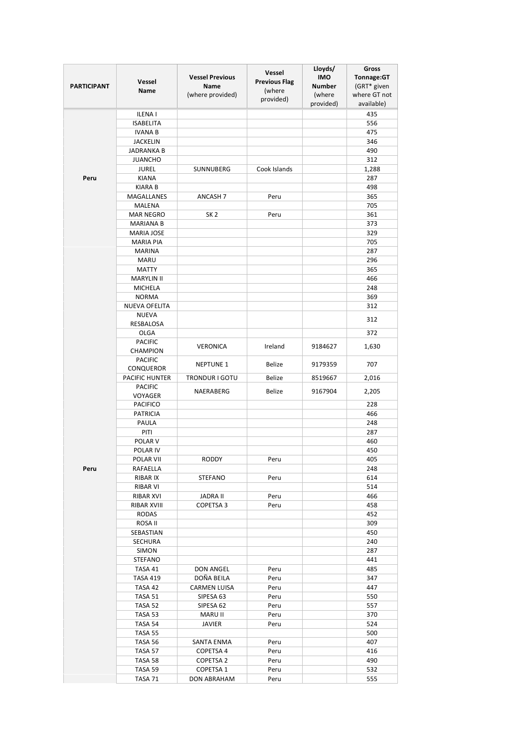| <b>PARTICIPANT</b> | Vessel                               | <b>Vessel Previous</b><br>Name | Vessel<br><b>Previous Flag</b> | Lloyds/<br><b>IMO</b><br><b>Number</b> | Gross<br>Tonnage:GT<br>(GRT* given |
|--------------------|--------------------------------------|--------------------------------|--------------------------------|----------------------------------------|------------------------------------|
|                    | Name                                 | (where provided)               | (where<br>provided)            | (where                                 | where GT not                       |
|                    | <b>ILENAI</b>                        |                                |                                | provided)                              | available)<br>435                  |
|                    | <b>ISABELITA</b>                     |                                |                                |                                        | 556                                |
|                    | <b>IVANA B</b>                       |                                |                                |                                        | 475                                |
|                    | <b>JACKELIN</b>                      |                                |                                |                                        | 346                                |
|                    | <b>JADRANKA B</b>                    |                                |                                |                                        | 490                                |
|                    | <b>JUANCHO</b>                       |                                |                                |                                        | 312                                |
|                    | <b>JUREL</b>                         | SUNNUBERG                      | Cook Islands                   |                                        | 1,288                              |
| Peru               | <b>KIANA</b>                         |                                |                                |                                        | 287                                |
|                    | <b>KIARA B</b>                       |                                |                                |                                        | 498                                |
|                    | MAGALLANES                           | ANCASH <sub>7</sub>            | Peru                           |                                        | 365                                |
|                    | MALENA                               |                                |                                |                                        | 705                                |
|                    | <b>MAR NEGRO</b><br><b>MARIANA B</b> | SK <sub>2</sub>                | Peru                           |                                        | 361<br>373                         |
|                    | <b>MARIA JOSE</b>                    |                                |                                |                                        | 329                                |
|                    | <b>MARIA PIA</b>                     |                                |                                |                                        | 705                                |
|                    | <b>MARINA</b>                        |                                |                                |                                        | 287                                |
|                    | <b>MARU</b>                          |                                |                                |                                        | 296                                |
|                    | <b>MATTY</b>                         |                                |                                |                                        | 365                                |
|                    | <b>MARYLIN II</b>                    |                                |                                |                                        | 466                                |
|                    | MICHELA                              |                                |                                |                                        | 248                                |
|                    | <b>NORMA</b>                         |                                |                                |                                        | 369                                |
|                    | <b>NUEVA OFELITA</b>                 |                                |                                |                                        | 312                                |
|                    | <b>NUEVA</b><br>RESBALOSA            |                                |                                |                                        | 312                                |
|                    | OLGA                                 |                                |                                |                                        | 372                                |
|                    | <b>PACIFIC</b><br>CHAMPION           | <b>VERONICA</b>                | Ireland                        | 9184627                                | 1,630                              |
|                    | <b>PACIFIC</b><br>CONQUEROR          | <b>NEPTUNE 1</b>               | Belize                         | 9179359                                | 707                                |
|                    | <b>PACIFIC HUNTER</b>                | <b>TRONDUR I GOTU</b>          | Belize                         | 8519667                                | 2,016                              |
|                    | <b>PACIFIC</b>                       | NAERABERG                      | Belize                         | 9167904                                | 2,205                              |
|                    | VOYAGER                              |                                |                                |                                        |                                    |
|                    | <b>PACIFICO</b>                      |                                |                                |                                        | 228                                |
|                    | <b>PATRICIA</b><br>PAULA             |                                |                                |                                        | 466<br>248                         |
|                    | PITI                                 |                                |                                |                                        | 287                                |
|                    | POLAR <sub>V</sub>                   |                                |                                |                                        | 460                                |
|                    | POLAR IV                             |                                |                                |                                        | 450                                |
|                    | POLAR VII                            | <b>RODDY</b>                   | Peru                           |                                        | 405                                |
| Peru               | RAFAELLA                             |                                |                                |                                        | 248                                |
|                    | RIBAR IX                             | STEFANO                        | Peru                           |                                        | 614                                |
|                    | RIBAR VI                             |                                |                                |                                        | 514                                |
|                    | RIBAR XVI                            | JADRA II                       | Peru                           |                                        | 466                                |
|                    | RIBAR XVIII                          | COPETSA 3                      | Peru                           |                                        | 458                                |
|                    | <b>RODAS</b>                         |                                |                                |                                        | 452                                |
|                    | ROSA II                              |                                |                                |                                        | 309                                |
|                    | SEBASTIAN                            |                                |                                |                                        | 450                                |
|                    | SECHURA                              |                                |                                |                                        | 240<br>287                         |
|                    | <b>SIMON</b><br>STEFANO              |                                |                                |                                        | 441                                |
|                    | TASA 41                              | DON ANGEL                      | Peru                           |                                        | 485                                |
|                    | <b>TASA 419</b>                      | DOÑA BEILA                     | Peru                           |                                        | 347                                |
|                    | TASA 42                              | <b>CARMEN LUISA</b>            | Peru                           |                                        | 447                                |
|                    | TASA 51                              | SIPESA 63                      | Peru                           |                                        | 550                                |
|                    | TASA 52                              | SIPESA 62                      | Peru                           |                                        | 557                                |
|                    | TASA 53                              | MARU II                        | Peru                           |                                        | 370                                |
|                    | TASA 54                              | JAVIER                         | Peru                           |                                        | 524                                |
|                    | TASA 55                              |                                |                                |                                        | 500                                |
|                    | TASA 56                              | SANTA ENMA                     | Peru                           |                                        | 407                                |
|                    | TASA 57                              | COPETSA 4                      | Peru                           |                                        | 416                                |
|                    | TASA 58                              | COPETSA 2                      | Peru                           |                                        | 490                                |
|                    | TASA 59<br>TASA 71                   | COPETSA 1<br>DON ABRAHAM       | Peru<br>Peru                   |                                        | 532<br>555                         |
|                    |                                      |                                |                                |                                        |                                    |